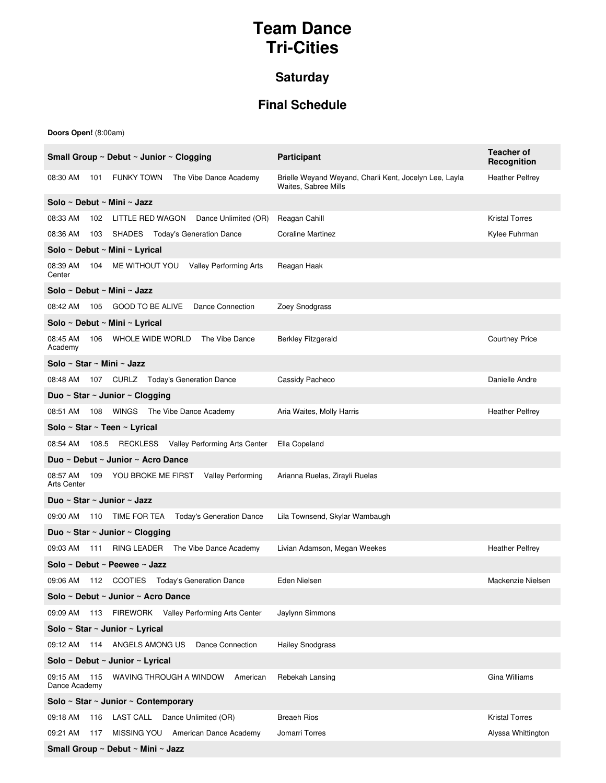## **Team Dance Tri-Cities**

## **Saturday**

## **Final Schedule**

**Doors Open!** (8:00am)

| Small Group $\sim$ Debut $\sim$ Junior $\sim$ Clogging                                  | <b>Participant</b>                                                             | <b>Teacher of</b><br>Recognition |  |
|-----------------------------------------------------------------------------------------|--------------------------------------------------------------------------------|----------------------------------|--|
| 08:30 AM<br><b>FUNKY TOWN</b><br>The Vibe Dance Academy<br>101                          | Brielle Weyand Weyand, Charli Kent, Jocelyn Lee, Layla<br>Waites, Sabree Mills | <b>Heather Pelfrey</b>           |  |
| Solo ~ Debut ~ Mini ~ Jazz                                                              |                                                                                |                                  |  |
| 08:33 AM<br>LITTLE RED WAGON Dance Unlimited (OR)<br>102                                | Reagan Cahill                                                                  | <b>Kristal Torres</b>            |  |
| 08:36 AM<br><b>SHADES</b> Today's Generation Dance<br>103                               | <b>Coraline Martinez</b>                                                       | Kylee Fuhrman                    |  |
| Solo ~ Debut ~ Mini ~ Lyrical                                                           |                                                                                |                                  |  |
| ME WITHOUT YOU<br><b>Valley Performing Arts</b><br>08:39 AM<br>104<br>Center            | Reagan Haak                                                                    |                                  |  |
| Solo ~ Debut ~ Mini ~ Jazz                                                              |                                                                                |                                  |  |
| Dance Connection<br>08:42 AM<br>105<br>GOOD TO BE ALIVE                                 | Zoey Snodgrass                                                                 |                                  |  |
| Solo ~ Debut ~ Mini ~ Lyrical                                                           |                                                                                |                                  |  |
| The Vibe Dance<br>08:45 AM<br>WHOLE WIDE WORLD<br>106<br>Academy                        | <b>Berkley Fitzgerald</b>                                                      | <b>Courtney Price</b>            |  |
| Solo ~ Star ~ Mini ~ Jazz                                                               |                                                                                |                                  |  |
| 08:48 AM<br>107 CURLZ Today's Generation Dance                                          | Cassidy Pacheco                                                                | Danielle Andre                   |  |
| Duo ~ Star ~ Junior ~ Clogging                                                          |                                                                                |                                  |  |
| 108 WINGS The Vibe Dance Academy<br>08:51 AM                                            | Aria Waites, Molly Harris                                                      | <b>Heather Pelfrey</b>           |  |
| Solo ~ Star ~ Teen ~ Lyrical                                                            |                                                                                |                                  |  |
| 108.5 RECKLESS Valley Performing Arts Center<br>08:54 AM                                | Ella Copeland                                                                  |                                  |  |
| Duo ~ Debut ~ Junior ~ Acro Dance                                                       |                                                                                |                                  |  |
| 08:57 AM<br>YOU BROKE ME FIRST<br><b>Valley Performing</b><br>109<br><b>Arts Center</b> | Arianna Ruelas, Zirayli Ruelas                                                 |                                  |  |
| Duo ~ Star ~ Junior ~ Jazz                                                              |                                                                                |                                  |  |
| <b>Today's Generation Dance</b><br>110 TIME FOR TEA<br>09:00 AM                         | Lila Townsend, Skylar Wambaugh                                                 |                                  |  |
| Duo ~ Star ~ Junior ~ Clogging                                                          |                                                                                |                                  |  |
| 09:03 AM<br>The Vibe Dance Academy<br>RING LEADER<br>111                                | Livian Adamson, Megan Weekes                                                   | <b>Heather Pelfrey</b>           |  |
| Solo ~ Debut ~ Peewee ~ Jazz                                                            |                                                                                |                                  |  |
| 09:06 AM<br>112 COOTIES Today's Generation Dance                                        | Eden Nielsen                                                                   | Mackenzie Nielsen                |  |
| Solo ~ Debut ~ Junior ~ Acro Dance                                                      |                                                                                |                                  |  |
| 113 FIREWORK Valley Performing Arts Center<br>09:09 AM                                  | Jaylynn Simmons                                                                |                                  |  |
| Solo ~ Star ~ Junior ~ Lyrical                                                          |                                                                                |                                  |  |
| 09:12 AM 114 ANGELS AMONG US<br>Dance Connection                                        | <b>Hailey Snodgrass</b>                                                        |                                  |  |
| Solo ~ Debut ~ Junior ~ Lyrical                                                         |                                                                                |                                  |  |
| WAVING THROUGH A WINDOW<br>American<br>09:15 AM<br>115<br>Dance Academy                 | Rebekah Lansing                                                                | Gina Williams                    |  |
| Solo ~ Star ~ Junior ~ Contemporary                                                     |                                                                                |                                  |  |
| LAST CALL Dance Unlimited (OR)<br>09:18 AM<br>116                                       | <b>Breach Rios</b>                                                             | <b>Kristal Torres</b>            |  |
| 09:21 AM<br>MISSING YOU American Dance Academy<br>117                                   | Jomarri Torres                                                                 | Alyssa Whittington               |  |
| Small Group ~ Debut ~ Mini ~ Jazz                                                       |                                                                                |                                  |  |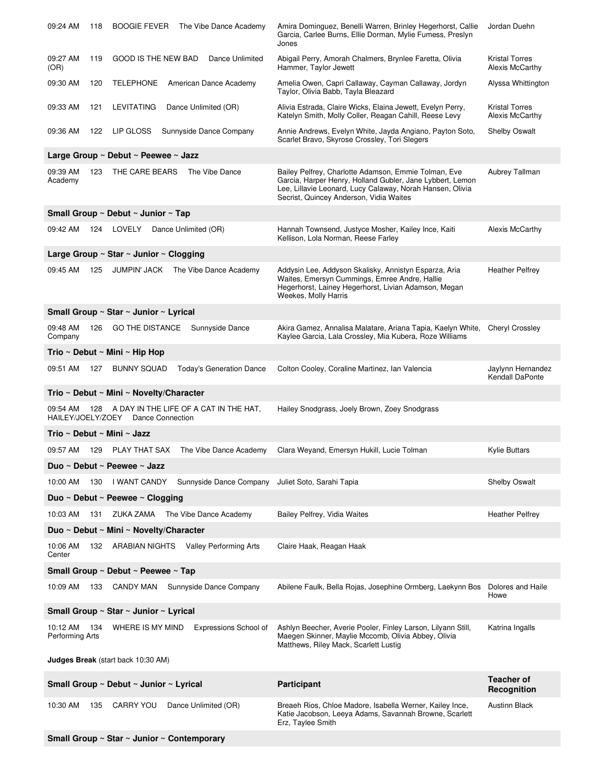| 09:24 AM                                  | <b>BOOGIE FEVER</b><br>118<br>The Vibe Dance Academy              | Amira Dominguez, Benelli Warren, Brinley Hegerhorst, Callie<br>Garcia, Carlee Burns, Ellie Dorman, Mylie Fumess, Preslyn<br>Jones                                                                                         | Jordan Duehn                             |  |
|-------------------------------------------|-------------------------------------------------------------------|---------------------------------------------------------------------------------------------------------------------------------------------------------------------------------------------------------------------------|------------------------------------------|--|
| 09:27 AM<br>(OR)                          | GOOD IS THE NEW BAD<br>Dance Unlimited<br>119                     | Abigail Perry, Amorah Chalmers, Brynlee Faretta, Olivia<br>Hammer, Taylor Jewett                                                                                                                                          | <b>Kristal Torres</b><br>Alexis McCarthy |  |
| 09:30 AM                                  | <b>TELEPHONE</b><br>120<br>American Dance Academy                 | Amelia Owen, Capri Callaway, Cayman Callaway, Jordyn<br>Taylor, Olivia Babb, Tayla Bleazard                                                                                                                               | Alyssa Whittington                       |  |
| 09:33 AM                                  | 121<br>LEVITATING<br>Dance Unlimited (OR)                         | Alivia Estrada, Claire Wicks, Elaina Jewett, Evelyn Perry,<br>Katelyn Smith, Molly Coller, Reagan Cahill, Reese Levy                                                                                                      | <b>Kristal Torres</b><br>Alexis McCarthy |  |
| 09:36 AM                                  | LIP GLOSS<br>Sunnyside Dance Company<br>122                       | Annie Andrews, Evelyn White, Jayda Angiano, Payton Soto,<br>Scarlet Bravo, Skyrose Crossley, Tori Slegers                                                                                                                 | <b>Shelby Oswalt</b>                     |  |
|                                           | Large Group ~ Debut ~ Peewee ~ Jazz                               |                                                                                                                                                                                                                           |                                          |  |
| 09:39 AM<br>Academy                       | 123<br>THE CARE BEARS<br>The Vibe Dance                           | Bailey Pelfrey, Charlotte Adamson, Emmie Tolman, Eve<br>Garcia, Harper Henry, Holland Gubler, Jane Lybbert, Lemon<br>Lee, Lillavie Leonard, Lucy Calaway, Norah Hansen, Olivia<br>Secrist, Quincey Anderson, Vidia Waites | Aubrey Tallman                           |  |
|                                           | Small Group ~ Debut ~ Junior ~ Tap                                |                                                                                                                                                                                                                           |                                          |  |
| 09:42 AM                                  | LOVELY<br>Dance Unlimited (OR)<br>124                             | Hannah Townsend, Justyce Mosher, Kailey Ince, Kaiti<br>Kellison, Lola Norman, Reese Farley                                                                                                                                | Alexis McCarthy                          |  |
|                                           | Large Group $\sim$ Star $\sim$ Junior $\sim$ Clogging             |                                                                                                                                                                                                                           |                                          |  |
| 09:45 AM                                  | 125<br><b>JUMPIN' JACK</b><br>The Vibe Dance Academy              | Addysin Lee, Addyson Skalisky, Annistyn Esparza, Aria<br>Waites, Emersyn Cummings, Emree Andre, Hallie<br>Hegerhorst, Lainey Hegerhorst, Livian Adamson, Megan<br>Weekes, Molly Harris                                    | <b>Heather Pelfrey</b>                   |  |
|                                           | Small Group ~ Star ~ Junior ~ Lyrical                             |                                                                                                                                                                                                                           |                                          |  |
| 09:48 AM<br>Company                       | 126<br><b>GO THE DISTANCE</b><br>Sunnyside Dance                  | Akira Gamez, Annalisa Malatare, Ariana Tapia, Kaelyn White,<br>Kaylee Garcia, Lala Crossley, Mia Kubera, Roze Williams                                                                                                    | Cheryl Crossley                          |  |
|                                           | Trio ~ Debut ~ Mini ~ Hip Hop                                     |                                                                                                                                                                                                                           |                                          |  |
| 09:51 AM                                  | 127<br><b>BUNNY SQUAD</b><br><b>Today's Generation Dance</b>      | Colton Cooley, Coraline Martinez, Ian Valencia                                                                                                                                                                            | Jaylynn Hernandez<br>Kendall DaPonte     |  |
|                                           | Trio ~ Debut ~ Mini ~ Novelty/Character                           |                                                                                                                                                                                                                           |                                          |  |
| 09:54 AM<br>HAILEY/JOELY/ZOEY             | A DAY IN THE LIFE OF A CAT IN THE HAT,<br>128<br>Dance Connection | Hailey Snodgrass, Joely Brown, Zoey Snodgrass                                                                                                                                                                             |                                          |  |
|                                           | Trio ~ Debut ~ Mini ~ Jazz                                        |                                                                                                                                                                                                                           |                                          |  |
| 09:57 AM<br>129                           | PLAY THAT SAX The Vibe Dance Academy                              | Clara Weyand, Emersyn Hukill, Lucie Tolman                                                                                                                                                                                | <b>Kylie Buttars</b>                     |  |
|                                           | Duo ~ Debut ~ Peewee ~ Jazz                                       |                                                                                                                                                                                                                           |                                          |  |
| 10:00 AM                                  | 130<br>I WANT CANDY<br>Sunnyside Dance Company                    | Juliet Soto, Sarahi Tapia                                                                                                                                                                                                 | <b>Shelby Oswalt</b>                     |  |
|                                           | Duo ~ Debut ~ Peewee ~ Clogging                                   |                                                                                                                                                                                                                           |                                          |  |
| 10:03 AM<br>131                           | ZUKA ZAMA<br>The Vibe Dance Academy                               | Bailey Pelfrey, Vidia Waites                                                                                                                                                                                              | <b>Heather Pelfrey</b>                   |  |
|                                           | Duo ~ Debut ~ Mini ~ Novelty/Character                            |                                                                                                                                                                                                                           |                                          |  |
| 10:06 AM<br>Center                        | ARABIAN NIGHTS Valley Performing Arts<br>132                      | Claire Haak, Reagan Haak                                                                                                                                                                                                  |                                          |  |
| Small Group ~ Debut ~ Peewee ~ Tap        |                                                                   |                                                                                                                                                                                                                           |                                          |  |
| 10:09 AM                                  | 133<br>CANDY MAN<br>Sunnyside Dance Company                       | Abilene Faulk, Bella Rojas, Josephine Ormberg, Laekynn Bos                                                                                                                                                                | Dolores and Haile<br>Howe                |  |
| Small Group ~ Star ~ Junior ~ Lyrical     |                                                                   |                                                                                                                                                                                                                           |                                          |  |
| 10:12 AM<br>Performing Arts               | Expressions School of<br>134<br>WHERE IS MY MIND                  | Ashlyn Beecher, Averie Pooler, Finley Larson, Lilyann Still,<br>Maegen Skinner, Maylie Mccomb, Olivia Abbey, Olivia<br>Matthews, Riley Mack, Scarlett Lustig                                                              | Katrina Ingalls                          |  |
| <b>Judges Break</b> (start back 10:30 AM) |                                                                   |                                                                                                                                                                                                                           |                                          |  |
|                                           | Small Group ~ Debut ~ Junior ~ Lyrical                            | Participant                                                                                                                                                                                                               | Teacher of<br>Recognition                |  |
| 10:30 AM                                  | 135<br><b>CARRY YOU</b><br>Dance Unlimited (OR)                   | Breaeh Rios, Chloe Madore, Isabella Werner, Kailey Ince,<br>Katie Jacobson, Leeya Adams, Savannah Browne, Scarlett<br>Erz, Taylee Smith                                                                                   | <b>Austinn Black</b>                     |  |
|                                           | Small Group ~ Star ~ Junior ~ Contemporary                        |                                                                                                                                                                                                                           |                                          |  |
|                                           |                                                                   |                                                                                                                                                                                                                           |                                          |  |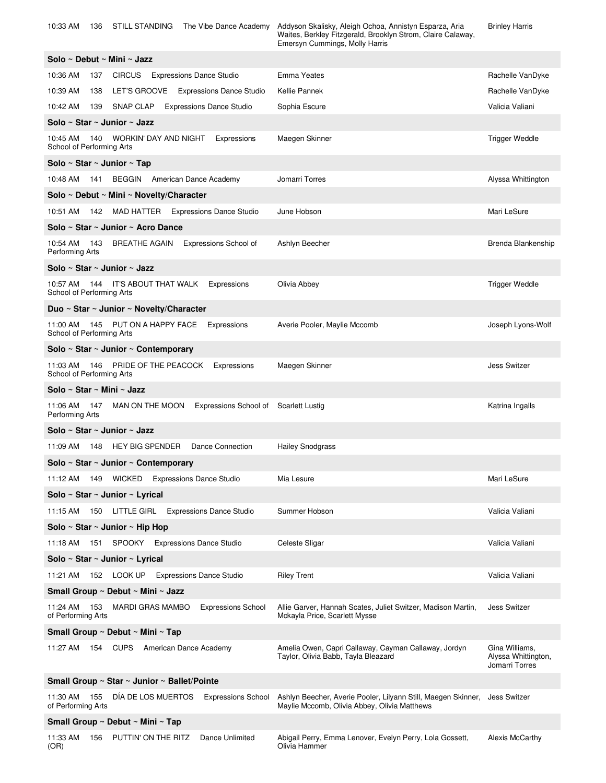| 10:33 AM<br>136                              | <b>STILL STANDING</b><br>The Vibe Dance Academy          | Addyson Skalisky, Aleigh Ochoa, Annistyn Esparza, Aria<br>Waites, Berkley Fitzgerald, Brooklyn Strom, Claire Calaway,<br>Emersyn Cummings, Molly Harris | <b>Brinley Harris</b>                                   |  |
|----------------------------------------------|----------------------------------------------------------|---------------------------------------------------------------------------------------------------------------------------------------------------------|---------------------------------------------------------|--|
| Solo ~ Debut ~ Mini ~ Jazz                   |                                                          |                                                                                                                                                         |                                                         |  |
| 10:36 AM<br>137                              | CIRCUS Expressions Dance Studio                          | Emma Yeates                                                                                                                                             | Rachelle VanDyke                                        |  |
| 10:39 AM<br>138                              | LET'S GROOVE Expressions Dance Studio                    | Kellie Pannek                                                                                                                                           | Rachelle VanDyke                                        |  |
| 10:42 AM<br>139                              | SNAP CLAP Expressions Dance Studio                       | Sophia Escure                                                                                                                                           | Valicia Valiani                                         |  |
| Solo ~ Star ~ Junior ~ Jazz                  |                                                          |                                                                                                                                                         |                                                         |  |
| 10:45 AM<br>140<br>School of Performing Arts | WORKIN' DAY AND NIGHT<br>Expressions                     | Maegen Skinner                                                                                                                                          | Trigger Weddle                                          |  |
| Solo ~ Star ~ Junior ~ Tap                   |                                                          |                                                                                                                                                         |                                                         |  |
|                                              | 10:48 AM 141 BEGGIN American Dance Academy               | Jomarri Torres                                                                                                                                          | Alyssa Whittington                                      |  |
|                                              | Solo ~ Debut ~ Mini ~ Novelty/Character                  |                                                                                                                                                         |                                                         |  |
| 10:51 AM                                     | 142 MAD HATTER Expressions Dance Studio                  | June Hobson                                                                                                                                             | Mari LeSure                                             |  |
|                                              | Solo ~ Star ~ Junior ~ Acro Dance                        |                                                                                                                                                         |                                                         |  |
| 10:54 AM 143<br>Performing Arts              | BREATHE AGAIN Expressions School of                      | Ashlyn Beecher                                                                                                                                          | Brenda Blankenship                                      |  |
| Solo ~ Star ~ Junior ~ Jazz                  |                                                          |                                                                                                                                                         |                                                         |  |
| 10:57 AM<br>School of Performing Arts        | 144 IT'S ABOUT THAT WALK<br>Expressions                  | Olivia Abbey                                                                                                                                            | <b>Trigger Weddle</b>                                   |  |
|                                              | Duo ~ Star ~ Junior ~ Novelty/Character                  |                                                                                                                                                         |                                                         |  |
| 11:00 AM<br>School of Performing Arts        | 145 PUT ON A HAPPY FACE Expressions                      | Averie Pooler, Maylie Mccomb                                                                                                                            | Joseph Lyons-Wolf                                       |  |
|                                              | Solo ~ Star ~ Junior ~ Contemporary                      |                                                                                                                                                         |                                                         |  |
| 11:03 AM<br>146<br>School of Performing Arts | PRIDE OF THE PEACOCK<br>Expressions                      | Maegen Skinner                                                                                                                                          | <b>Jess Switzer</b>                                     |  |
| Solo ~ Star ~ Mini ~ Jazz                    |                                                          |                                                                                                                                                         |                                                         |  |
| 11:06 AM 147<br>Performing Arts              | MAN ON THE MOON<br>Expressions School of Scarlett Lustig |                                                                                                                                                         | Katrina Ingalls                                         |  |
| Solo ~ Star ~ Junior ~ Jazz                  |                                                          |                                                                                                                                                         |                                                         |  |
| 11:09 AM                                     | <b>Dance Connection</b><br>148 HEY BIG SPENDER           | <b>Hailey Snodgrass</b>                                                                                                                                 |                                                         |  |
|                                              | Solo ~ Star ~ Junior ~ Contemporary                      |                                                                                                                                                         |                                                         |  |
| 11:12 AM<br>149                              | WICKED Expressions Dance Studio                          | Mia Lesure                                                                                                                                              | Mari LeSure                                             |  |
| Solo ~ Star ~ Junior ~ Lyrical               |                                                          |                                                                                                                                                         |                                                         |  |
| 11:15 AM<br>150                              | LITTLE GIRL<br><b>Expressions Dance Studio</b>           | Summer Hobson                                                                                                                                           | Valicia Valiani                                         |  |
| Solo ~ Star ~ Junior ~ Hip Hop               |                                                          |                                                                                                                                                         |                                                         |  |
| 151<br>11:18 AM                              | SPOOKY Expressions Dance Studio                          | Celeste Sligar                                                                                                                                          | Valicia Valiani                                         |  |
| Solo ~ Star ~ Junior ~ Lyrical               |                                                          |                                                                                                                                                         |                                                         |  |
| 11:21 AM                                     | 152 LOOK UP Expressions Dance Studio                     | <b>Riley Trent</b>                                                                                                                                      | Valicia Valiani                                         |  |
|                                              | Small Group ~ Debut ~ Mini ~ Jazz                        |                                                                                                                                                         |                                                         |  |
| 11:24 AM<br>153<br>of Performing Arts        | <b>MARDI GRAS MAMBO</b><br><b>Expressions School</b>     | Allie Garver, Hannah Scates, Juliet Switzer, Madison Martin,<br>Mckayla Price, Scarlett Mysse                                                           | <b>Jess Switzer</b>                                     |  |
|                                              | Small Group ~ Debut ~ Mini ~ Tap                         |                                                                                                                                                         |                                                         |  |
| 11:27 AM<br>154                              | <b>CUPS</b><br>American Dance Academy                    | Amelia Owen, Capri Callaway, Cayman Callaway, Jordyn<br>Taylor, Olivia Babb, Tayla Bleazard                                                             | Gina Williams,<br>Alyssa Whittington,<br>Jomarri Torres |  |
|                                              | Small Group ~ Star ~ Junior ~ Ballet/Pointe              |                                                                                                                                                         |                                                         |  |
| 11:30 AM<br>155<br>of Performing Arts        | DIA DE LOS MUERTOS<br><b>Expressions School</b>          | Ashlyn Beecher, Averie Pooler, Lilyann Still, Maegen Skinner,<br>Maylie Mccomb, Olivia Abbey, Olivia Matthews                                           | <b>Jess Switzer</b>                                     |  |
| Small Group ~ Debut ~ Mini ~ Tap             |                                                          |                                                                                                                                                         |                                                         |  |
| 11:33 AM<br>156<br>(OR)                      | PUTTIN' ON THE RITZ<br>Dance Unlimited                   | Abigail Perry, Emma Lenover, Evelyn Perry, Lola Gossett,<br>Olivia Hammer                                                                               | Alexis McCarthy                                         |  |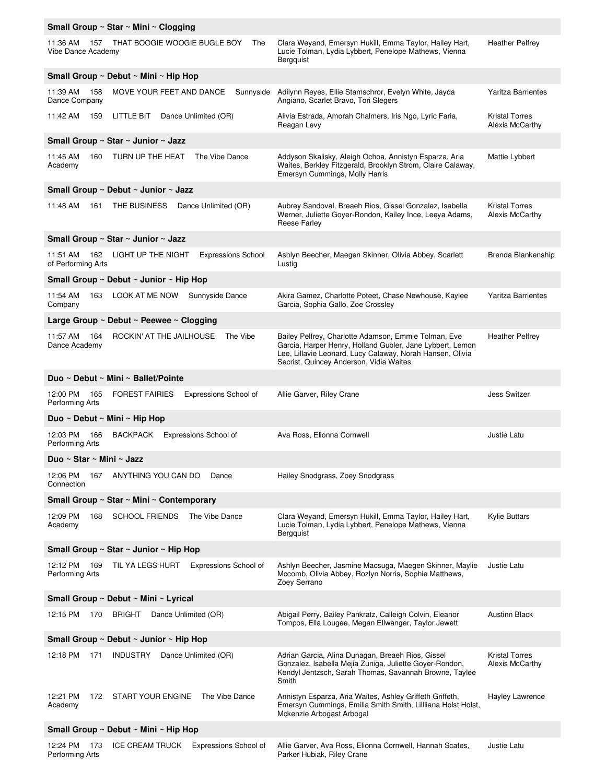| Small Group ~ Star ~ Mini ~ Clogging   |                                                        |                                                                                                                                                                                                                           |                                          |
|----------------------------------------|--------------------------------------------------------|---------------------------------------------------------------------------------------------------------------------------------------------------------------------------------------------------------------------------|------------------------------------------|
| 11:36 AM<br>157<br>Vibe Dance Academy  | THAT BOOGIE WOOGIE BUGLE BOY<br>The                    | Clara Weyand, Emersyn Hukill, Emma Taylor, Hailey Hart,<br>Lucie Tolman, Lydia Lybbert, Penelope Mathews, Vienna<br>Bergquist                                                                                             | <b>Heather Pelfrey</b>                   |
|                                        | Small Group ~ Debut ~ Mini ~ Hip Hop                   |                                                                                                                                                                                                                           |                                          |
| 11:39 AM<br>158<br>Dance Company       | MOVE YOUR FEET AND DANCE<br>Sunnyside                  | Adilynn Reyes, Ellie Stamschror, Evelyn White, Jayda<br>Angiano, Scarlet Bravo, Tori Slegers                                                                                                                              | <b>Yaritza Barrientes</b>                |
| 11:42 AM<br>159                        | LITTLE BIT<br>Dance Unlimited (OR)                     | Alivia Estrada, Amorah Chalmers, Iris Ngo, Lyric Faria,<br>Reagan Levy                                                                                                                                                    | <b>Kristal Torres</b><br>Alexis McCarthy |
|                                        | Small Group ~ Star ~ Junior ~ Jazz                     |                                                                                                                                                                                                                           |                                          |
| 11:45 AM<br>160<br>Academy             | The Vibe Dance<br>TURN UP THE HEAT                     | Addyson Skalisky, Aleigh Ochoa, Annistyn Esparza, Aria<br>Waites, Berkley Fitzgerald, Brooklyn Strom, Claire Calaway,<br>Emersyn Cummings, Molly Harris                                                                   | Mattie Lybbert                           |
|                                        | Small Group ~ Debut ~ Junior ~ Jazz                    |                                                                                                                                                                                                                           |                                          |
| 11:48 AM<br>161                        | THE BUSINESS<br>Dance Unlimited (OR)                   | Aubrey Sandoval, Breaeh Rios, Gissel Gonzalez, Isabella<br>Werner, Juliette Goyer-Rondon, Kailey Ince, Leeya Adams,<br><b>Reese Farley</b>                                                                                | <b>Kristal Torres</b><br>Alexis McCarthy |
|                                        | Small Group ~ Star ~ Junior ~ Jazz                     |                                                                                                                                                                                                                           |                                          |
| 11:51 AM<br>162<br>of Performing Arts  | LIGHT UP THE NIGHT<br><b>Expressions School</b>        | Ashlyn Beecher, Maegen Skinner, Olivia Abbey, Scarlett<br>Lustig                                                                                                                                                          | Brenda Blankenship                       |
|                                        | Small Group ~ Debut ~ Junior ~ Hip Hop                 |                                                                                                                                                                                                                           |                                          |
| 11:54 AM<br>163<br>Company             | LOOK AT ME NOW<br>Sunnyside Dance                      | Akira Gamez, Charlotte Poteet, Chase Newhouse, Kaylee<br>Garcia, Sophia Gallo, Zoe Crossley                                                                                                                               | <b>Yaritza Barrientes</b>                |
|                                        | Large Group $\sim$ Debut $\sim$ Peewee $\sim$ Clogging |                                                                                                                                                                                                                           |                                          |
| 11:57 AM<br>164<br>Dance Academy       | The Vibe<br>ROCKIN' AT THE JAILHOUSE                   | Bailey Pelfrey, Charlotte Adamson, Emmie Tolman, Eve<br>Garcia, Harper Henry, Holland Gubler, Jane Lybbert, Lemon<br>Lee, Lillavie Leonard, Lucy Calaway, Norah Hansen, Olivia<br>Secrist, Quincey Anderson, Vidia Waites | <b>Heather Pelfrey</b>                   |
|                                        | Duo ~ Debut ~ Mini ~ Ballet/Pointe                     |                                                                                                                                                                                                                           |                                          |
| 12:00 PM<br>165<br>Performing Arts     | <b>FOREST FAIRIES</b><br>Expressions School of         | Allie Garver, Riley Crane                                                                                                                                                                                                 | <b>Jess Switzer</b>                      |
|                                        | Duo ~ Debut ~ Mini ~ Hip Hop                           |                                                                                                                                                                                                                           |                                          |
| 12:03 PM<br>166<br>Performing Arts     | Expressions School of<br>BACKPACK                      | Ava Ross, Elionna Cornwell                                                                                                                                                                                                | Justie Latu                              |
| Duo ∼ Star ∼ Mini ∼ Jazz               |                                                        |                                                                                                                                                                                                                           |                                          |
| 12:06 PM<br>167<br>Connection          | ANYTHING YOU CAN DO<br>Dance                           | Hailey Snodgrass, Zoey Snodgrass                                                                                                                                                                                          |                                          |
|                                        | Small Group ~ Star ~ Mini ~ Contemporary               |                                                                                                                                                                                                                           |                                          |
| 12:09 PM<br>168<br>Academy             | <b>SCHOOL FRIENDS</b><br>The Vibe Dance                | Clara Weyand, Emersyn Hukill, Emma Taylor, Hailey Hart,<br>Lucie Tolman, Lydia Lybbert, Penelope Mathews, Vienna<br>Bergquist                                                                                             | <b>Kylie Buttars</b>                     |
|                                        | Small Group ~ Star ~ Junior ~ Hip Hop                  |                                                                                                                                                                                                                           |                                          |
| 12:12 PM<br>169<br>Performing Arts     | TIL YA LEGS HURT<br>Expressions School of              | Ashlyn Beecher, Jasmine Macsuga, Maegen Skinner, Maylie<br>Mccomb, Olivia Abbey, Rozlyn Norris, Sophie Matthews,<br>Zoey Serrano                                                                                          | Justie Latu                              |
| Small Group ~ Debut ~ Mini ~ Lyrical   |                                                        |                                                                                                                                                                                                                           |                                          |
| 12:15 PM<br>170                        | <b>BRIGHT</b><br>Dance Unlimited (OR)                  | Abigail Perry, Bailey Pankratz, Calleigh Colvin, Eleanor<br>Tompos, Ella Lougee, Megan Ellwanger, Taylor Jewett                                                                                                           | <b>Austinn Black</b>                     |
| Small Group ~ Debut ~ Junior ~ Hip Hop |                                                        |                                                                                                                                                                                                                           |                                          |
| 12:18 PM<br>171                        | INDUSTRY<br>Dance Unlimited (OR)                       | Adrian Garcia, Alina Dunagan, Breaeh Rios, Gissel<br>Gonzalez, Isabella Mejia Zuniga, Juliette Goyer-Rondon,<br>Kendyl Jentzsch, Sarah Thomas, Savannah Browne, Taylee<br>Smith                                           | <b>Kristal Torres</b><br>Alexis McCarthy |
| 12:21 PM<br>Academy                    | 172 START YOUR ENGINE The Vibe Dance                   | Annistyn Esparza, Aria Waites, Ashley Griffeth Griffeth,<br>Emersyn Cummings, Emilia Smith Smith, Lillliana Holst Holst,<br>Mckenzie Arbogast Arbogal                                                                     | Hayley Lawrence                          |
| Small Group ~ Debut ~ Mini ~ Hip Hop   |                                                        |                                                                                                                                                                                                                           |                                          |
| 12:24 PM<br>173<br>Performing Arts     | <b>ICE CREAM TRUCK</b><br>Expressions School of        | Allie Garver, Ava Ross, Elionna Cornwell, Hannah Scates,<br>Parker Hubiak, Riley Crane                                                                                                                                    | Justie Latu                              |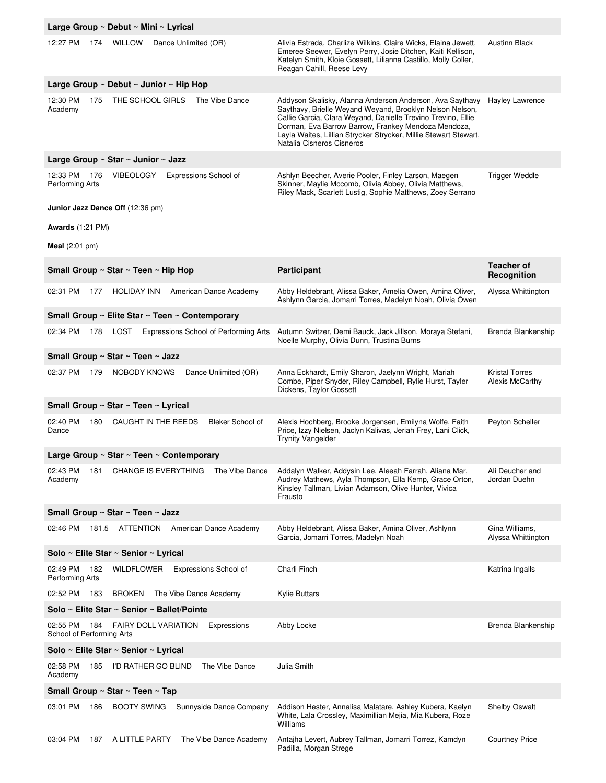|                                                        | Large Group ~ Debut ~ Mini ~ Lyrical                                          |                                                                                                                                                                                                                                                                                                                                              |                                          |  |
|--------------------------------------------------------|-------------------------------------------------------------------------------|----------------------------------------------------------------------------------------------------------------------------------------------------------------------------------------------------------------------------------------------------------------------------------------------------------------------------------------------|------------------------------------------|--|
| 12:27 PM                                               | 174<br>WILLOW<br>Dance Unlimited (OR)                                         | Alivia Estrada, Charlize Wilkins, Claire Wicks, Elaina Jewett,<br>Emeree Seewer, Evelyn Perry, Josie Ditchen, Kaiti Kellison,<br>Katelyn Smith, Kloie Gossett, Lilianna Castillo, Molly Coller,<br>Reagan Cahill, Reese Levy                                                                                                                 | <b>Austinn Black</b>                     |  |
|                                                        | Large Group $\sim$ Debut $\sim$ Junior $\sim$ Hip Hop                         |                                                                                                                                                                                                                                                                                                                                              |                                          |  |
| 12:30 PM<br>Academy                                    | THE SCHOOL GIRLS<br>The Vibe Dance<br>175                                     | Addyson Skalisky, Alanna Anderson Anderson, Ava Saythavy<br>Saythavy, Brielle Weyand Weyand, Brooklyn Nelson Nelson,<br>Callie Garcia, Clara Weyand, Danielle Trevino Trevino, Ellie<br>Dorman, Eva Barrow Barrow, Frankey Mendoza Mendoza,<br>Layla Waites, Lillian Strycker Strycker, Millie Stewart Stewart,<br>Natalia Cisneros Cisneros | Hayley Lawrence                          |  |
|                                                        | Large Group ~ Star ~ Junior ~ Jazz                                            |                                                                                                                                                                                                                                                                                                                                              |                                          |  |
| 12:33 PM<br>Performing Arts<br><b>Awards</b> (1:21 PM) | VIBEOLOGY<br>Expressions School of<br>176<br>Junior Jazz Dance Off (12:36 pm) | Ashlyn Beecher, Averie Pooler, Finley Larson, Maegen<br>Skinner, Maylie Mccomb, Olivia Abbey, Olivia Matthews,<br>Riley Mack, Scarlett Lustig, Sophie Matthews, Zoey Serrano                                                                                                                                                                 | <b>Trigger Weddle</b>                    |  |
| Meal $(2:01$ pm)                                       |                                                                               |                                                                                                                                                                                                                                                                                                                                              |                                          |  |
|                                                        | Small Group ~ Star ~ Teen ~ Hip Hop                                           | Participant                                                                                                                                                                                                                                                                                                                                  | <b>Teacher of</b><br>Recognition         |  |
| 02:31 PM                                               | <b>HOLIDAY INN</b><br>American Dance Academy<br>177                           | Abby Heldebrant, Alissa Baker, Amelia Owen, Amina Oliver,<br>Ashlynn Garcia, Jomarri Torres, Madelyn Noah, Olivia Owen                                                                                                                                                                                                                       | Alyssa Whittington                       |  |
|                                                        | Small Group ~ Elite Star ~ Teen ~ Contemporary                                |                                                                                                                                                                                                                                                                                                                                              |                                          |  |
| 02:34 PM                                               | 178<br>LOST<br>Expressions School of Performing Arts                          | Autumn Switzer, Demi Bauck, Jack Jillson, Moraya Stefani,<br>Noelle Murphy, Olivia Dunn, Trustina Burns                                                                                                                                                                                                                                      | Brenda Blankenship                       |  |
|                                                        | Small Group ~ Star ~ Teen ~ Jazz                                              |                                                                                                                                                                                                                                                                                                                                              |                                          |  |
| 02:37 PM                                               | NOBODY KNOWS<br>Dance Unlimited (OR)<br>179                                   | Anna Eckhardt, Emily Sharon, Jaelynn Wright, Mariah<br>Combe, Piper Snyder, Riley Campbell, Rylie Hurst, Tayler<br>Dickens, Taylor Gossett                                                                                                                                                                                                   | <b>Kristal Torres</b><br>Alexis McCarthy |  |
|                                                        | Small Group ~ Star ~ Teen ~ Lyrical                                           |                                                                                                                                                                                                                                                                                                                                              |                                          |  |
| 02:40 PM<br>Dance                                      | Bleker School of<br>180<br>CAUGHT IN THE REEDS                                | Alexis Hochberg, Brooke Jorgensen, Emilyna Wolfe, Faith<br>Price, Izzy Nielsen, Jaclyn Kalivas, Jeriah Frey, Lani Click,<br><b>Trynity Vangelder</b>                                                                                                                                                                                         | Peyton Scheller                          |  |
|                                                        | Large Group ~ Star ~ Teen ~ Contemporary                                      |                                                                                                                                                                                                                                                                                                                                              |                                          |  |
| 02:43 PM<br>Academy                                    | 181<br><b>CHANGE IS EVERYTHING</b><br>The Vibe Dance                          | Addalyn Walker, Addysin Lee, Aleeah Farrah, Aliana Mar,<br>Audrey Mathews, Ayla Thompson, Ella Kemp, Grace Orton,<br>Kinsley Tallman, Livian Adamson, Olive Hunter, Vivica<br>Frausto                                                                                                                                                        | Ali Deucher and<br>Jordan Duehn          |  |
|                                                        | Small Group ~ Star ~ Teen ~ Jazz                                              |                                                                                                                                                                                                                                                                                                                                              |                                          |  |
| 02:46 PM                                               | 181.5<br>ATTENTION<br>American Dance Academy                                  | Abby Heldebrant, Alissa Baker, Amina Oliver, Ashlynn<br>Garcia, Jomarri Torres, Madelyn Noah                                                                                                                                                                                                                                                 | Gina Williams,<br>Alyssa Whittington     |  |
|                                                        | Solo ~ Elite Star ~ Senior ~ Lyrical                                          |                                                                                                                                                                                                                                                                                                                                              |                                          |  |
| 02:49 PM<br>Performing Arts                            | WILDFLOWER<br>Expressions School of<br>182                                    | Charli Finch                                                                                                                                                                                                                                                                                                                                 | Katrina Ingalls                          |  |
| 02:52 PM                                               | The Vibe Dance Academy<br>183<br><b>BROKEN</b>                                | <b>Kylie Buttars</b>                                                                                                                                                                                                                                                                                                                         |                                          |  |
| Solo ~ Elite Star ~ Senior ~ Ballet/Pointe             |                                                                               |                                                                                                                                                                                                                                                                                                                                              |                                          |  |
| 02:55 PM<br>School of Performing Arts                  | 184<br><b>FAIRY DOLL VARIATION</b><br>Expressions                             | Abby Locke                                                                                                                                                                                                                                                                                                                                   | Brenda Blankenship                       |  |
|                                                        | Solo ~ Elite Star ~ Senior ~ Lyrical                                          |                                                                                                                                                                                                                                                                                                                                              |                                          |  |
| 02:58 PM<br>Academy                                    | I'D RATHER GO BLIND<br>The Vibe Dance<br>185                                  | Julia Smith                                                                                                                                                                                                                                                                                                                                  |                                          |  |
|                                                        | Small Group ~ Star ~ Teen ~ Tap                                               |                                                                                                                                                                                                                                                                                                                                              |                                          |  |
| 03:01 PM                                               | <b>BOOTY SWING</b><br>Sunnyside Dance Company<br>186                          | Addison Hester, Annalisa Malatare, Ashley Kubera, Kaelyn<br>White, Lala Crossley, Maximillian Mejia, Mia Kubera, Roze<br>Williams                                                                                                                                                                                                            | Shelby Oswalt                            |  |
| 03:04 PM                                               | A LITTLE PARTY<br>The Vibe Dance Academy<br>187                               | Antajha Levert, Aubrey Tallman, Jomarri Torrez, Kamdyn<br>Padilla, Morgan Strege                                                                                                                                                                                                                                                             | <b>Courtney Price</b>                    |  |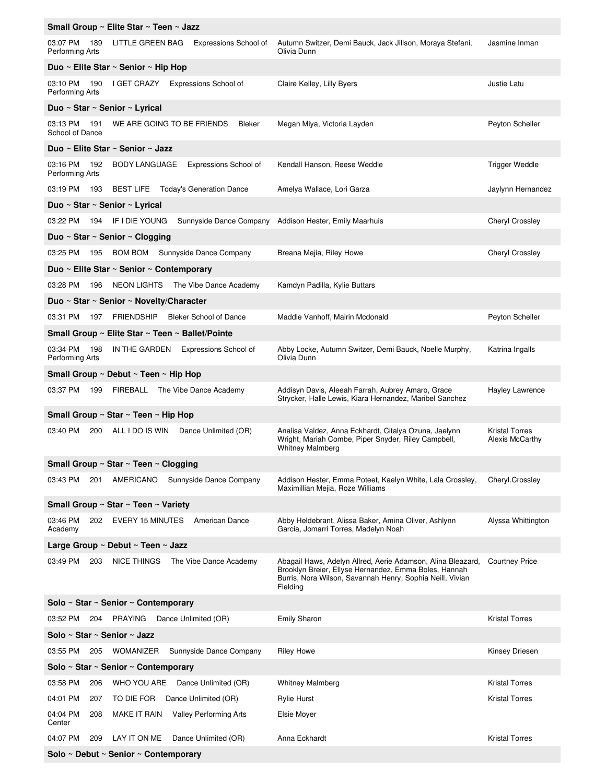|                                    | Small Group ~ Elite Star ~ Teen ~ Jazz              |                                                                                                                                                                                               |                                          |  |
|------------------------------------|-----------------------------------------------------|-----------------------------------------------------------------------------------------------------------------------------------------------------------------------------------------------|------------------------------------------|--|
| 03:07 PM 189<br>Performing Arts    | LITTLE GREEN BAG<br>Expressions School of           | Autumn Switzer, Demi Bauck, Jack Jillson, Moraya Stefani,<br>Olivia Dunn                                                                                                                      | Jasmine Inman                            |  |
|                                    | Duo ~ Elite Star ~ Senior ~ Hip Hop                 |                                                                                                                                                                                               |                                          |  |
| 190<br>03:10 PM<br>Performing Arts | I GET CRAZY<br>Expressions School of                | Claire Kelley, Lilly Byers                                                                                                                                                                    | Justie Latu                              |  |
| Duo ~ Star ~ Senior ~ Lyrical      |                                                     |                                                                                                                                                                                               |                                          |  |
| 03:13 PM<br>191<br>School of Dance | WE ARE GOING TO BE FRIENDS<br>Bleker                | Megan Miya, Victoria Layden                                                                                                                                                                   | Peyton Scheller                          |  |
|                                    | Duo ~ Elite Star ~ Senior ~ Jazz                    |                                                                                                                                                                                               |                                          |  |
| 03:16 PM<br>192<br>Performing Arts | <b>BODY LANGUAGE</b><br>Expressions School of       | Kendall Hanson, Reese Weddle                                                                                                                                                                  | <b>Trigger Weddle</b>                    |  |
|                                    | 03:19 PM 193 BEST LIFE Today's Generation Dance     | Amelya Wallace, Lori Garza                                                                                                                                                                    | Jaylynn Hernandez                        |  |
| Duo ~ Star ~ Senior ~ Lyrical      |                                                     |                                                                                                                                                                                               |                                          |  |
| 03:22 PM 194 IF I DIE YOUNG        |                                                     | Sunnyside Dance Company Addison Hester, Emily Maarhuis                                                                                                                                        | Cheryl Crossley                          |  |
| Duo ~ Star ~ Senior ~ Clogging     |                                                     |                                                                                                                                                                                               |                                          |  |
| 03:25 PM                           | 195 BOM BOM Sunnyside Dance Company                 | Breana Mejia, Riley Howe                                                                                                                                                                      | Cheryl Crossley                          |  |
|                                    | Duo ~ Elite Star ~ Senior ~ Contemporary            |                                                                                                                                                                                               |                                          |  |
| 03:28 PM<br>196                    | NEON LIGHTS The Vibe Dance Academy                  | Kamdyn Padilla, Kylie Buttars                                                                                                                                                                 |                                          |  |
|                                    | Duo ~ Star ~ Senior ~ Novelty/Character             |                                                                                                                                                                                               |                                          |  |
| 03:31 PM                           | 197 FRIENDSHIP<br><b>Bleker School of Dance</b>     | Maddie Vanhoff, Mairin Mcdonald                                                                                                                                                               | Peyton Scheller                          |  |
|                                    | Small Group ~ Elite Star ~ Teen ~ Ballet/Pointe     |                                                                                                                                                                                               |                                          |  |
| 03:34 PM<br>198<br>Performing Arts | IN THE GARDEN Expressions School of                 | Abby Locke, Autumn Switzer, Demi Bauck, Noelle Murphy,<br>Olivia Dunn                                                                                                                         | Katrina Ingalls                          |  |
|                                    | Small Group ~ Debut ~ Teen ~ Hip Hop                |                                                                                                                                                                                               |                                          |  |
| 03:37 PM                           | 199 FIREBALL The Vibe Dance Academy                 | Addisyn Davis, Aleeah Farrah, Aubrey Amaro, Grace<br>Strycker, Halle Lewis, Kiara Hernandez, Maribel Sanchez                                                                                  | Hayley Lawrence                          |  |
|                                    | Small Group ~ Star ~ Teen ~ Hip Hop                 |                                                                                                                                                                                               |                                          |  |
| 03:40 PM<br>200                    | ALL I DO IS WIN<br>Dance Unlimited (OR)             | Analisa Valdez, Anna Eckhardt, Citalya Ozuna, Jaelynn<br>Wright, Mariah Combe, Piper Snyder, Riley Campbell,<br><b>Whitney Malmberg</b>                                                       | <b>Kristal Torres</b><br>Alexis McCarthy |  |
|                                    | Small Group $\sim$ Star $\sim$ Teen $\sim$ Clogging |                                                                                                                                                                                               |                                          |  |
| 03:43 PM<br>201                    | Sunnyside Dance Company<br>AMERICANO                | Addison Hester, Emma Poteet, Kaelyn White, Lala Crossley,<br>Maximillian Mejia, Roze Williams                                                                                                 | Cheryl.Crossley                          |  |
|                                    | Small Group ~ Star ~ Teen ~ Variety                 |                                                                                                                                                                                               |                                          |  |
| 03:46 PM<br>202<br>Academy         | EVERY 15 MINUTES<br>American Dance                  | Abby Heldebrant, Alissa Baker, Amina Oliver, Ashlynn<br>Garcia, Jomarri Torres, Madelyn Noah                                                                                                  | Alyssa Whittington                       |  |
|                                    | Large Group ~ Debut ~ Teen ~ Jazz                   |                                                                                                                                                                                               |                                          |  |
| 03:49 PM<br>203                    | <b>NICE THINGS</b><br>The Vibe Dance Academy        | Abagail Haws, Adelyn Allred, Aerie Adamson, Alina Bleazard,<br>Brooklyn Breier, Ellyse Hernandez, Emma Boles, Hannah<br>Burris, Nora Wilson, Savannah Henry, Sophia Neill, Vivian<br>Fielding | <b>Courtney Price</b>                    |  |
|                                    | Solo ~ Star ~ Senior ~ Contemporary                 |                                                                                                                                                                                               |                                          |  |
| 03:52 PM<br>204                    | PRAYING Dance Unlimited (OR)                        | <b>Emily Sharon</b>                                                                                                                                                                           | <b>Kristal Torres</b>                    |  |
| Solo ~ Star ~ Senior ~ Jazz        |                                                     |                                                                                                                                                                                               |                                          |  |
| 03:55 PM<br>205                    | Sunnyside Dance Company<br>WOMANIZER                | <b>Riley Howe</b>                                                                                                                                                                             | Kinsey Driesen                           |  |
|                                    | Solo ~ Star ~ Senior ~ Contemporary                 |                                                                                                                                                                                               |                                          |  |
| 03:58 PM<br>206                    | WHO YOU ARE<br>Dance Unlimited (OR)                 | <b>Whitney Malmberg</b>                                                                                                                                                                       | <b>Kristal Torres</b>                    |  |
| 04:01 PM<br>207                    | TO DIE FOR<br>Dance Unlimited (OR)                  | <b>Rylie Hurst</b>                                                                                                                                                                            | <b>Kristal Torres</b>                    |  |
| 04:04 PM<br>208<br>Center          | Valley Performing Arts<br>MAKE IT RAIN              | Elsie Moyer                                                                                                                                                                                   |                                          |  |
| 04:07 PM<br>209                    | Dance Unlimited (OR)<br>LAY IT ON ME                | Anna Eckhardt                                                                                                                                                                                 | <b>Kristal Torres</b>                    |  |
|                                    | Solo ~ Debut ~ Senior ~ Contemporary                |                                                                                                                                                                                               |                                          |  |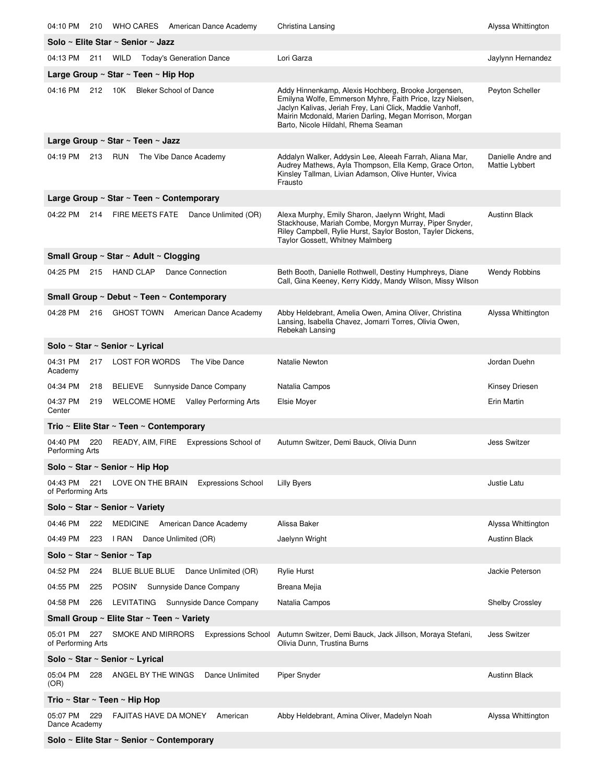| 04:10 PM<br>210<br>WHO CARES American Dance Academy                                     | Christina Lansing                                                                                                                                                                                                                                                              | Alyssa Whittington                   |
|-----------------------------------------------------------------------------------------|--------------------------------------------------------------------------------------------------------------------------------------------------------------------------------------------------------------------------------------------------------------------------------|--------------------------------------|
| Solo ~ Elite Star ~ Senior ~ Jazz                                                       |                                                                                                                                                                                                                                                                                |                                      |
| 04:13 PM 211 WILD<br><b>Today's Generation Dance</b>                                    | Lori Garza                                                                                                                                                                                                                                                                     | Jaylynn Hernandez                    |
| Large Group $\sim$ Star $\sim$ Teen $\sim$ Hip Hop                                      |                                                                                                                                                                                                                                                                                |                                      |
| 04:16 PM 212 10K<br><b>Bleker School of Dance</b>                                       | Addy Hinnenkamp, Alexis Hochberg, Brooke Jorgensen,<br>Emilyna Wolfe, Emmerson Myhre, Faith Price, Izzy Nielsen,<br>Jaclyn Kalivas, Jeriah Frey, Lani Click, Maddie Vanhoff,<br>Mairin Mcdonald, Marien Darling, Megan Morrison, Morgan<br>Barto, Nicole Hildahl, Rhema Seaman | Peyton Scheller                      |
| Large Group ~ Star ~ Teen ~ Jazz                                                        |                                                                                                                                                                                                                                                                                |                                      |
| 04:19 PM<br>213<br><b>RUN</b><br>The Vibe Dance Academy                                 | Addalyn Walker, Addysin Lee, Aleeah Farrah, Aliana Mar,<br>Audrey Mathews, Ayla Thompson, Ella Kemp, Grace Orton,<br>Kinsley Tallman, Livian Adamson, Olive Hunter, Vivica<br>Frausto                                                                                          | Danielle Andre and<br>Mattie Lybbert |
| Large Group ~ Star ~ Teen ~ Contemporary                                                |                                                                                                                                                                                                                                                                                |                                      |
| 04:22 PM<br>214 FIRE MEETS FATE Dance Unlimited (OR)                                    | Alexa Murphy, Emily Sharon, Jaelynn Wright, Madi<br>Stackhouse, Mariah Combe, Morgyn Murray, Piper Snyder,<br>Riley Campbell, Rylie Hurst, Saylor Boston, Tayler Dickens,<br>Taylor Gossett, Whitney Malmberg                                                                  | <b>Austinn Black</b>                 |
| Small Group ~ Star ~ Adult ~ Clogging                                                   |                                                                                                                                                                                                                                                                                |                                      |
| 04:25 PM 215 HAND CLAP<br>Dance Connection                                              | Beth Booth, Danielle Rothwell, Destiny Humphreys, Diane<br>Call, Gina Keeney, Kerry Kiddy, Mandy Wilson, Missy Wilson                                                                                                                                                          | <b>Wendy Robbins</b>                 |
| Small Group ~ Debut ~ Teen ~ Contemporary                                               |                                                                                                                                                                                                                                                                                |                                      |
| 04:28 PM<br>216 GHOST TOWN American Dance Academy                                       | Abby Heldebrant, Amelia Owen, Amina Oliver, Christina<br>Lansing, Isabella Chavez, Jomarri Torres, Olivia Owen,<br>Rebekah Lansing                                                                                                                                             | Alyssa Whittington                   |
| Solo ~ Star ~ Senior ~ Lyrical                                                          |                                                                                                                                                                                                                                                                                |                                      |
| The Vibe Dance<br>04:31 PM<br>217<br>LOST FOR WORDS<br>Academy                          | Natalie Newton                                                                                                                                                                                                                                                                 | Jordan Duehn                         |
| 04:34 PM<br>BELIEVE Sunnyside Dance Company<br>218                                      | Natalia Campos                                                                                                                                                                                                                                                                 | Kinsey Driesen                       |
| 04:37 PM<br>219<br>WELCOME HOME Valley Performing Arts<br>Center                        | Elsie Moyer                                                                                                                                                                                                                                                                    | Erin Martin                          |
| Trio ~ Elite Star ~ Teen ~ Contemporary                                                 |                                                                                                                                                                                                                                                                                |                                      |
| 04:40 PM<br>READY, AIM, FIRE<br>Expressions School of<br>220<br>Performing Arts         | Autumn Switzer, Demi Bauck, Olivia Dunn                                                                                                                                                                                                                                        | <b>Jess Switzer</b>                  |
| Solo ~ Star ~ Senior ~ Hip Hop                                                          |                                                                                                                                                                                                                                                                                |                                      |
| 04:43 PM<br>221<br>LOVE ON THE BRAIN<br><b>Expressions School</b><br>of Performing Arts | <b>Lilly Byers</b>                                                                                                                                                                                                                                                             | Justie Latu                          |
| Solo ~ Star ~ Senior ~ Variety                                                          |                                                                                                                                                                                                                                                                                |                                      |
| 04:46 PM<br><b>MEDICINE</b><br>American Dance Academy<br>222                            | Alissa Baker                                                                                                                                                                                                                                                                   | Alyssa Whittington                   |
| 04:49 PM<br>I RAN<br>Dance Unlimited (OR)<br>223                                        | Jaelynn Wright                                                                                                                                                                                                                                                                 | <b>Austinn Black</b>                 |
| Solo ~ Star ~ Senior ~ Tap                                                              |                                                                                                                                                                                                                                                                                |                                      |
| 04:52 PM<br><b>BLUE BLUE BLUE</b><br>Dance Unlimited (OR)<br>224                        | <b>Rylie Hurst</b>                                                                                                                                                                                                                                                             | Jackie Peterson                      |
| 04:55 PM<br>Sunnyside Dance Company<br>225<br>POSIN'                                    | Breana Mejia                                                                                                                                                                                                                                                                   |                                      |
| 04:58 PM<br>LEVITATING Sunnyside Dance Company<br>226                                   | Natalia Campos                                                                                                                                                                                                                                                                 | <b>Shelby Crossley</b>               |
| Small Group ~ Elite Star ~ Teen ~ Variety                                               |                                                                                                                                                                                                                                                                                |                                      |
| 05:01 PM<br>SMOKE AND MIRRORS<br><b>Expressions School</b><br>227<br>of Performing Arts | Autumn Switzer, Demi Bauck, Jack Jillson, Moraya Stefani,<br>Olivia Dunn, Trustina Burns                                                                                                                                                                                       | <b>Jess Switzer</b>                  |
| Solo ~ Star ~ Senior ~ Lyrical                                                          |                                                                                                                                                                                                                                                                                |                                      |
| 05:04 PM<br>Dance Unlimited<br>228<br>ANGEL BY THE WINGS<br>(OR)                        | Piper Snyder                                                                                                                                                                                                                                                                   | <b>Austinn Black</b>                 |
| Trio ~ Star ~ Teen ~ Hip Hop                                                            |                                                                                                                                                                                                                                                                                |                                      |
| 05:07 PM<br>229<br><b>FAJITAS HAVE DA MONEY</b><br>American<br>Dance Academy            | Abby Heldebrant, Amina Oliver, Madelyn Noah                                                                                                                                                                                                                                    | Alyssa Whittington                   |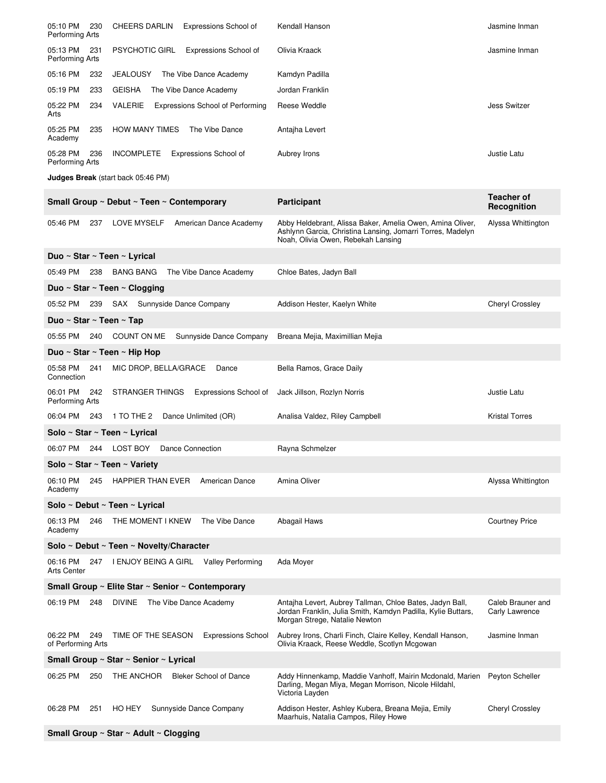| 05:10 PM<br>Performing Arts    | 230 | <b>CHEERS DARLIN</b><br>Expressions School of      | Kendall Hanson                                                                                                                                                | Jasmine Inman                       |
|--------------------------------|-----|----------------------------------------------------|---------------------------------------------------------------------------------------------------------------------------------------------------------------|-------------------------------------|
| 05:13 PM<br>Performing Arts    | 231 | <b>PSYCHOTIC GIRL</b><br>Expressions School of     | Olivia Kraack                                                                                                                                                 | Jasmine Inman                       |
| 05:16 PM                       | 232 | The Vibe Dance Academy<br><b>JEALOUSY</b>          | Kamdyn Padilla                                                                                                                                                |                                     |
| 05:19 PM                       | 233 | <b>GEISHA</b><br>The Vibe Dance Academy            | Jordan Franklin                                                                                                                                               |                                     |
| 05:22 PM<br>Arts               | 234 | <b>VALERIE</b><br>Expressions School of Performing | Reese Weddle                                                                                                                                                  | <b>Jess Switzer</b>                 |
| 05:25 PM<br>Academy            | 235 | <b>HOW MANY TIMES</b><br>The Vibe Dance            | Antajha Levert                                                                                                                                                |                                     |
| 05:28 PM<br>Performing Arts    | 236 | <b>INCOMPLETE</b><br><b>Expressions School of</b>  | Aubrey Irons                                                                                                                                                  | Justie Latu                         |
|                                |     | <b>Judges Break</b> (start back 05:46 PM)          |                                                                                                                                                               |                                     |
|                                |     | Small Group ~ Debut ~ Teen ~ Contemporary          | <b>Participant</b>                                                                                                                                            | <b>Teacher of</b><br>Recognition    |
| 05:46 PM                       | 237 | <b>LOVE MYSELF</b><br>American Dance Academy       | Abby Heldebrant, Alissa Baker, Amelia Owen, Amina Oliver,<br>Ashlynn Garcia, Christina Lansing, Jomarri Torres, Madelyn<br>Noah, Olivia Owen, Rebekah Lansing | Alyssa Whittington                  |
|                                |     | Duo ~ Star ~ Teen ~ Lyrical                        |                                                                                                                                                               |                                     |
| 05:49 PM                       | 238 | <b>BANG BANG</b><br>The Vibe Dance Academy         | Chloe Bates, Jadyn Ball                                                                                                                                       |                                     |
|                                |     | Duo ~ Star ~ Teen ~ Clogging                       |                                                                                                                                                               |                                     |
| 05:52 PM 239                   |     | SAX Sunnyside Dance Company                        | Addison Hester, Kaelyn White                                                                                                                                  | <b>Cheryl Crossley</b>              |
| Duo ~ Star ~ Teen ~ Tap        |     |                                                    |                                                                                                                                                               |                                     |
| 05:55 PM                       | 240 | Sunnyside Dance Company<br>COUNT ON ME             | Breana Mejia, Maximillian Mejia                                                                                                                               |                                     |
|                                |     | Duo ~ Star ~ Teen ~ Hip Hop                        |                                                                                                                                                               |                                     |
| 05:58 PM<br>Connection         | 241 | MIC DROP, BELLA/GRACE<br>Dance                     | Bella Ramos, Grace Daily                                                                                                                                      |                                     |
|                                |     |                                                    |                                                                                                                                                               |                                     |
| 06:01 PM<br>Performing Arts    | 242 | STRANGER THINGS<br>Expressions School of           | Jack Jillson, Rozlyn Norris                                                                                                                                   | Justie Latu                         |
| 06:04 PM                       | 243 | 1 TO THE 2 Dance Unlimited (OR)                    | Analisa Valdez, Riley Campbell                                                                                                                                | <b>Kristal Torres</b>               |
|                                |     | Solo ~ Star ~ Teen ~ Lyrical                       |                                                                                                                                                               |                                     |
| 06:07 PM                       | 244 | LOST BOY<br>Dance Connection                       | Rayna Schmelzer                                                                                                                                               |                                     |
|                                |     | Solo ~ Star ~ Teen ~ Variety                       |                                                                                                                                                               |                                     |
| 06:10 PM<br>Academy            | 245 | HAPPIER THAN EVER<br>American Dance                | Amina Oliver                                                                                                                                                  | Alyssa Whittington                  |
|                                |     | Solo ~ Debut ~ Teen ~ Lyrical                      |                                                                                                                                                               |                                     |
| 06:13 PM<br>Academy            | 246 | THE MOMENT I KNEW<br>The Vibe Dance                | Abagail Haws                                                                                                                                                  | <b>Courtney Price</b>               |
|                                |     | Solo ~ Debut ~ Teen ~ Novelty/Character            |                                                                                                                                                               |                                     |
| 06:16 PM<br><b>Arts Center</b> | 247 | I ENJOY BEING A GIRL Valley Performing             | Ada Moyer                                                                                                                                                     |                                     |
|                                |     | Small Group ~ Elite Star ~ Senior ~ Contemporary   |                                                                                                                                                               |                                     |
| 06:19 PM                       | 248 | <b>DIVINE</b><br>The Vibe Dance Academy            | Antajha Levert, Aubrey Tallman, Chloe Bates, Jadyn Ball,<br>Jordan Franklin, Julia Smith, Kamdyn Padilla, Kylie Buttars,<br>Morgan Strege, Natalie Newton     | Caleb Brauner and<br>Carly Lawrence |
| 06:22 PM<br>of Performing Arts | 249 | TIME OF THE SEASON<br><b>Expressions School</b>    | Aubrey Irons, Charli Finch, Claire Kelley, Kendall Hanson,<br>Olivia Kraack, Reese Weddle, Scotlyn Mcgowan                                                    | Jasmine Inman                       |
|                                |     | Small Group ~ Star ~ Senior ~ Lyrical              |                                                                                                                                                               |                                     |
| 06:25 PM                       | 250 | <b>Bleker School of Dance</b><br>THE ANCHOR        | Addy Hinnenkamp, Maddie Vanhoff, Mairin Mcdonald, Marien<br>Darling, Megan Miya, Megan Morrison, Nicole Hildahl,<br>Victoria Layden                           | Peyton Scheller                     |
| 06:28 PM                       | 251 | HO HEY<br>Sunnyside Dance Company                  | Addison Hester, Ashley Kubera, Breana Mejia, Emily<br>Maarhuis, Natalia Campos, Riley Howe                                                                    | <b>Cheryl Crossley</b>              |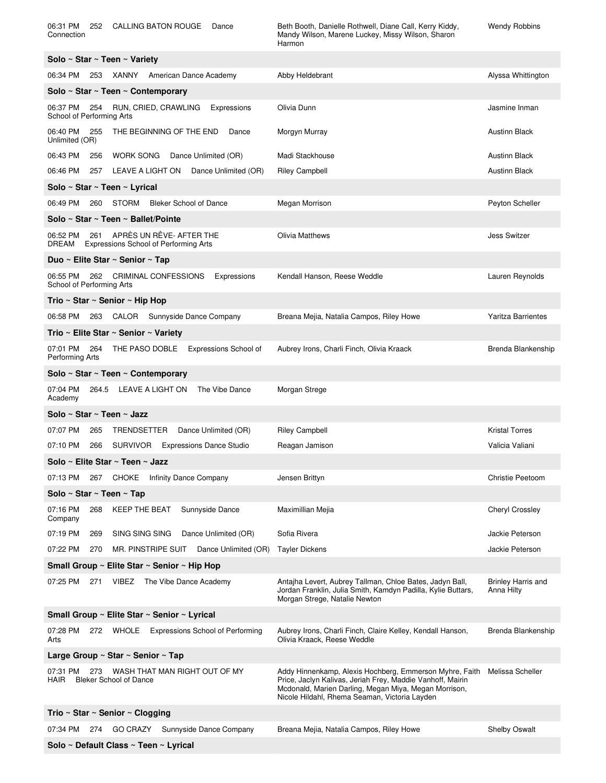| 06:31 PM<br>CALLING BATON ROUGE<br>252<br>Dance<br>Connection                                | Beth Booth, Danielle Rothwell, Diane Call, Kerry Kiddy,<br>Mandy Wilson, Marene Luckey, Missy Wilson, Sharon<br>Harmon                                                                                                          | Wendy Robbins                           |  |  |
|----------------------------------------------------------------------------------------------|---------------------------------------------------------------------------------------------------------------------------------------------------------------------------------------------------------------------------------|-----------------------------------------|--|--|
| Solo ~ Star ~ Teen ~ Variety                                                                 |                                                                                                                                                                                                                                 |                                         |  |  |
| 06:34 PM<br>253 XANNY American Dance Academy                                                 | Abby Heldebrant                                                                                                                                                                                                                 | Alyssa Whittington                      |  |  |
| Solo ~ Star ~ Teen ~ Contemporary                                                            |                                                                                                                                                                                                                                 |                                         |  |  |
| 06:37 PM<br>254<br>RUN, CRIED, CRAWLING<br>Expressions<br>School of Performing Arts          | Olivia Dunn                                                                                                                                                                                                                     | Jasmine Inman                           |  |  |
| 06:40 PM<br>THE BEGINNING OF THE END<br>255<br>Dance<br>Unlimited (OR)                       | Morgyn Murray                                                                                                                                                                                                                   | <b>Austinn Black</b>                    |  |  |
| 06:43 PM<br>WORK SONG Dance Unlimited (OR)<br>256                                            | Madi Stackhouse                                                                                                                                                                                                                 | <b>Austinn Black</b>                    |  |  |
| 06:46 PM<br>LEAVE A LIGHT ON Dance Unlimited (OR)<br>257                                     | <b>Riley Campbell</b>                                                                                                                                                                                                           | <b>Austinn Black</b>                    |  |  |
| Solo ~ Star ~ Teen ~ Lyrical                                                                 |                                                                                                                                                                                                                                 |                                         |  |  |
| 06:49 PM<br>260 STORM Bleker School of Dance                                                 | Megan Morrison                                                                                                                                                                                                                  | Peyton Scheller                         |  |  |
| Solo ~ Star ~ Teen ~ Ballet/Pointe                                                           |                                                                                                                                                                                                                                 |                                         |  |  |
| APRÈS UN RÊVE-AFTER THE<br>06:52 PM<br>261<br>Expressions School of Performing Arts<br>DREAM | <b>Olivia Matthews</b>                                                                                                                                                                                                          | <b>Jess Switzer</b>                     |  |  |
| Duo ~ Elite Star ~ Senior ~ Tap                                                              |                                                                                                                                                                                                                                 |                                         |  |  |
| 262 CRIMINAL CONFESSIONS<br>06:55 PM<br>Expressions<br>School of Performing Arts             | Kendall Hanson, Reese Weddle                                                                                                                                                                                                    | Lauren Reynolds                         |  |  |
| Trio ~ Star ~ Senior ~ Hip Hop                                                               |                                                                                                                                                                                                                                 |                                         |  |  |
| 06:58 PM<br>263 CALOR Sunnyside Dance Company                                                | Breana Mejia, Natalia Campos, Riley Howe                                                                                                                                                                                        | <b>Yaritza Barrientes</b>               |  |  |
| Trio ~ Elite Star ~ Senior ~ Variety                                                         |                                                                                                                                                                                                                                 |                                         |  |  |
| 07:01 PM<br>THE PASO DOBLE<br>264<br>Expressions School of<br>Performing Arts                | Aubrey Irons, Charli Finch, Olivia Kraack                                                                                                                                                                                       | Brenda Blankenship                      |  |  |
| Solo ~ Star ~ Teen ~ Contemporary                                                            |                                                                                                                                                                                                                                 |                                         |  |  |
| 07:04 PM<br>264.5 LEAVE A LIGHT ON<br>The Vibe Dance<br>Academy                              | Morgan Strege                                                                                                                                                                                                                   |                                         |  |  |
| Solo ~ Star ~ Teen ~ Jazz                                                                    |                                                                                                                                                                                                                                 |                                         |  |  |
| 07:07 PM<br>TRENDSETTER<br>Dance Unlimited (OR)<br>265                                       | <b>Riley Campbell</b>                                                                                                                                                                                                           | <b>Kristal Torres</b>                   |  |  |
| 07:10 PM<br>SURVIVOR Expressions Dance Studio<br>266                                         | Reagan Jamison                                                                                                                                                                                                                  | Valicia Valiani                         |  |  |
| Solo ~ Elite Star ~ Teen ~ Jazz                                                              |                                                                                                                                                                                                                                 |                                         |  |  |
| 07:13 PM<br>CHOKE Infinity Dance Company<br>267                                              | Jensen Brittyn                                                                                                                                                                                                                  | Christie Peetoom                        |  |  |
| Solo ~ Star ~ Teen ~ Tap                                                                     |                                                                                                                                                                                                                                 |                                         |  |  |
| 07:16 PM<br>268<br><b>KEEP THE BEAT</b><br>Sunnyside Dance<br>Company                        | Maximillian Mejia                                                                                                                                                                                                               | Cheryl Crossley                         |  |  |
| 07:19 PM<br>SING SING SING<br>Dance Unlimited (OR)<br>269                                    | Sofia Rivera                                                                                                                                                                                                                    | Jackie Peterson                         |  |  |
| 07:22 PM<br>270<br>MR. PINSTRIPE SUIT Dance Unlimited (OR)                                   | <b>Tayler Dickens</b>                                                                                                                                                                                                           | Jackie Peterson                         |  |  |
| Small Group ~ Elite Star ~ Senior ~ Hip Hop                                                  |                                                                                                                                                                                                                                 |                                         |  |  |
| 07:25 PM<br>VIBEZ<br>The Vibe Dance Academy<br>271                                           | Antajha Levert, Aubrey Tallman, Chloe Bates, Jadyn Ball,<br>Jordan Franklin, Julia Smith, Kamdyn Padilla, Kylie Buttars,<br>Morgan Strege, Natalie Newton                                                                       | <b>Brinley Harris and</b><br>Anna Hilty |  |  |
| Small Group ~ Elite Star ~ Senior ~ Lyrical                                                  |                                                                                                                                                                                                                                 |                                         |  |  |
| 07:28 PM<br>272 WHOLE<br><b>Expressions School of Performing</b><br>Arts                     | Aubrey Irons, Charli Finch, Claire Kelley, Kendall Hanson,<br>Olivia Kraack, Reese Weddle                                                                                                                                       | Brenda Blankenship                      |  |  |
| Large Group $\sim$ Star $\sim$ Senior $\sim$ Tap                                             |                                                                                                                                                                                                                                 |                                         |  |  |
| WASH THAT MAN RIGHT OUT OF MY<br>07:31 PM<br>273<br>HAIR<br><b>Bleker School of Dance</b>    | Addy Hinnenkamp, Alexis Hochberg, Emmerson Myhre, Faith<br>Price, Jaclyn Kalivas, Jeriah Frey, Maddie Vanhoff, Mairin<br>Mcdonald, Marien Darling, Megan Miya, Megan Morrison,<br>Nicole Hildahl, Rhema Seaman, Victoria Layden | Melissa Scheller                        |  |  |
| Trio ~ Star ~ Senior ~ Clogging                                                              |                                                                                                                                                                                                                                 |                                         |  |  |
| 07:34 PM<br>274 GO CRAZY Sunnyside Dance Company                                             | Breana Mejia, Natalia Campos, Riley Howe                                                                                                                                                                                        | Shelby Oswalt                           |  |  |
| Solo ~ Default Class ~ Teen ~ Lyrical                                                        |                                                                                                                                                                                                                                 |                                         |  |  |